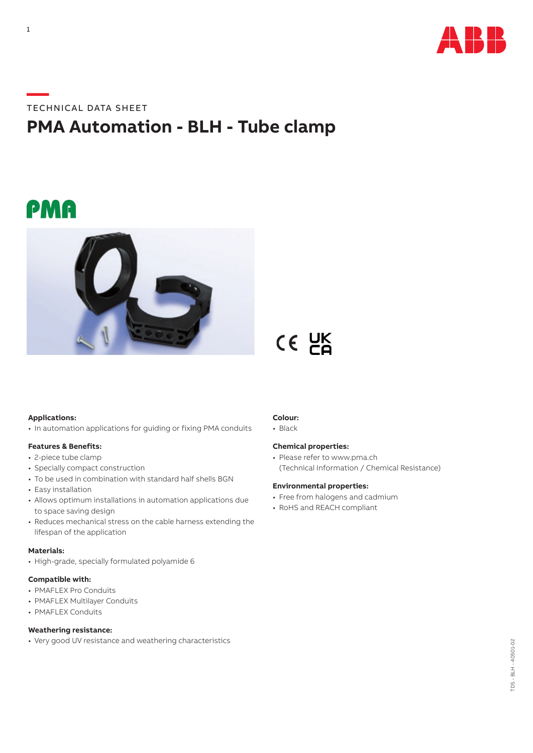

# **—**TECHNICAL DATA SHEET

# **PMA Automation - BLH - Tube clamp**

# PMA



## **Applications:**

• In automation applications for guiding or fixing PMA conduits

### **Features & Benefits:**

- 2-piece tube clamp
- Specially compact construction
- To be used in combination with standard half shells BGN
- Easy installation
- Allows optimum installations in automation applications due to space saving design
- Reduces mechanical stress on the cable harness extending the lifespan of the application

#### **Materials:**

• High-grade, specially formulated polyamide 6

### **Compatible with:**

- PMAFLEX Pro Conduits
- PMAFLEX Multilayer Conduits
- PMAFLEX Conduits

## **Weathering resistance:**

• Very good UV resistance and weathering characteristics

# **Colour:**

• Black

### **Chemical properties:**

 $CE$   $CE$ 

• Please refer to www.pma.ch (Technical Information / Chemical Resistance)

#### **Environmental properties:**

- Free from halogens and cadmium
- RoHS and REACH compliant